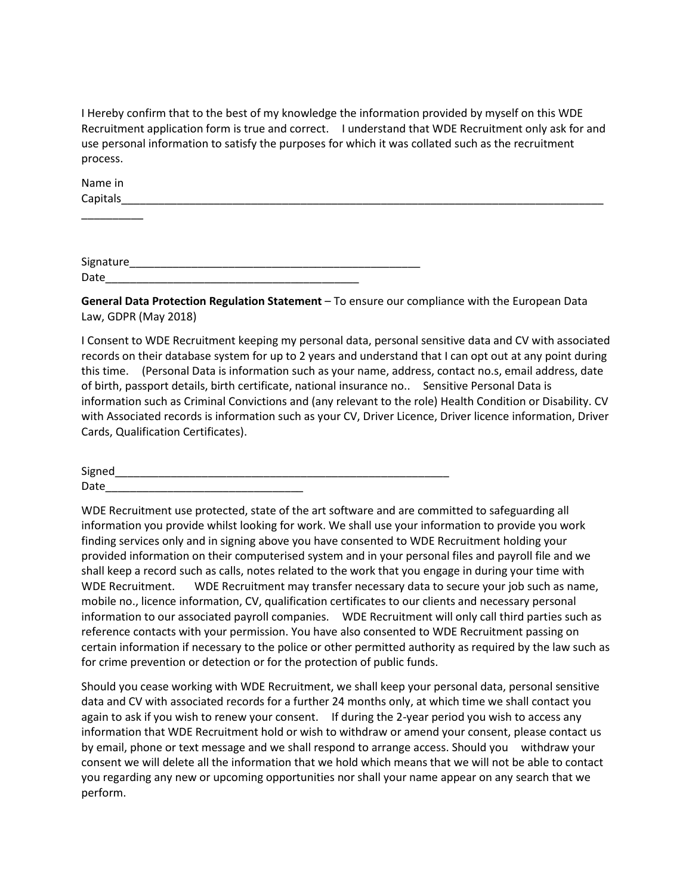I Hereby confirm that to the best of my knowledge the information provided by myself on this WDE Recruitment application form is true and correct. I understand that WDE Recruitment only ask for and use personal information to satisfy the purposes for which it was collated such as the recruitment process.

| Name in  |  |
|----------|--|
| Capitals |  |
|          |  |

Signature Date

**General Data Protection Regulation Statement** – To ensure our compliance with the European Data Law, GDPR (May 2018)

I Consent to WDE Recruitment keeping my personal data, personal sensitive data and CV with associated records on their database system for up to 2 years and understand that I can opt out at any point during this time. (Personal Data is information such as your name, address, contact no.s, email address, date of birth, passport details, birth certificate, national insurance no.. Sensitive Personal Data is information such as Criminal Convictions and (any relevant to the role) Health Condition or Disability. CV with Associated records is information such as your CV, Driver Licence, Driver licence information, Driver Cards, Qualification Certificates).

| Signed |  |
|--------|--|
| Date   |  |

WDE Recruitment use protected, state of the art software and are committed to safeguarding all information you provide whilst looking for work. We shall use your information to provide you work finding services only and in signing above you have consented to WDE Recruitment holding your provided information on their computerised system and in your personal files and payroll file and we shall keep a record such as calls, notes related to the work that you engage in during your time with WDE Recruitment. WDE Recruitment may transfer necessary data to secure your job such as name, mobile no., licence information, CV, qualification certificates to our clients and necessary personal information to our associated payroll companies. WDE Recruitment will only call third parties such as reference contacts with your permission. You have also consented to WDE Recruitment passing on certain information if necessary to the police or other permitted authority as required by the law such as for crime prevention or detection or for the protection of public funds.

Should you cease working with WDE Recruitment, we shall keep your personal data, personal sensitive data and CV with associated records for a further 24 months only, at which time we shall contact you again to ask if you wish to renew your consent. If during the 2-year period you wish to access any information that WDE Recruitment hold or wish to withdraw or amend your consent, please contact us by email, phone or text message and we shall respond to arrange access. Should you withdraw your consent we will delete all the information that we hold which means that we will not be able to contact you regarding any new or upcoming opportunities nor shall your name appear on any search that we perform.